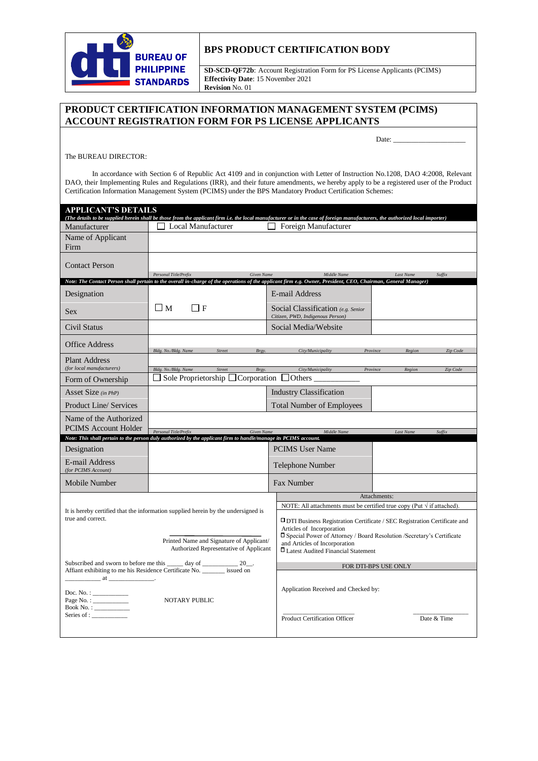

## **BPS PRODUCT CERTIFICATION BODY**

**SD-SCD-QF72b**: Account Registration Form for PS License Applicants (PCIMS) **Effectivity Date**: 15 November 2021 **Revision** No. 01

## **PRODUCT CERTIFICATION INFORMATION MANAGEMENT SYSTEM (PCIMS) ACCOUNT REGISTRATION FORM FOR PS LICENSE APPLICANTS**

Date: \_\_\_\_\_\_\_\_\_\_\_\_\_\_\_\_\_\_\_\_

The BUREAU DIRECTOR:

 In accordance with Section 6 of Republic Act 4109 and in conjunction with Letter of Instruction No.1208, DAO 4:2008, Relevant DAO, their Implementing Rules and Regulations (IRR), and their future amendments, we hereby apply to be a registered user of the Product Certification Information Management System (PCIMS) under the BPS Mandatory Product Certification Schemes:

| <b>APPLICANT'S DETAILS</b><br>(The details to be supplied herein shall be those from the applicant firm i.e. the local manufacturer or in the case of foreign manufacturers, the authorized local importer) |                                                                                                                  |                                                                        |                                                                                                                                                                     |
|-------------------------------------------------------------------------------------------------------------------------------------------------------------------------------------------------------------|------------------------------------------------------------------------------------------------------------------|------------------------------------------------------------------------|---------------------------------------------------------------------------------------------------------------------------------------------------------------------|
| Manufacturer                                                                                                                                                                                                | <b>Local Manufacturer</b>                                                                                        | Foreign Manufacturer                                                   |                                                                                                                                                                     |
| Name of Applicant<br>Firm                                                                                                                                                                                   |                                                                                                                  |                                                                        |                                                                                                                                                                     |
|                                                                                                                                                                                                             |                                                                                                                  |                                                                        |                                                                                                                                                                     |
| <b>Contact Person</b>                                                                                                                                                                                       | Personal Title/Prefix                                                                                            | Middle Name                                                            |                                                                                                                                                                     |
| Given Name<br>Last Name<br>Suffix<br>Note: The Contact Person shall pertain to the overall in-charge of the operations of the applicant firm e.g. Owner, President, CEO, Chairman, General Manager)         |                                                                                                                  |                                                                        |                                                                                                                                                                     |
| Designation                                                                                                                                                                                                 |                                                                                                                  | E-mail Address                                                         |                                                                                                                                                                     |
| <b>Sex</b>                                                                                                                                                                                                  | $\Box$ M<br>$\Box$ F                                                                                             | Social Classification (e.g. Senior<br>Citizen, PWD, Indigenous Person) |                                                                                                                                                                     |
| Civil Status                                                                                                                                                                                                |                                                                                                                  | Social Media/Website                                                   |                                                                                                                                                                     |
| Office Address                                                                                                                                                                                              | Bldg. No./Bldg. Name<br>Street<br>Brgy.                                                                          | City/Municipality                                                      | Province<br>Region<br>Zip Code                                                                                                                                      |
| <b>Plant Address</b>                                                                                                                                                                                        |                                                                                                                  |                                                                        |                                                                                                                                                                     |
| (for local manufacturers)                                                                                                                                                                                   | Bldg. No./Bldg. Name<br>Street<br>Brgy.<br>□ Sole Proprietorship □ Corporation □ Others __                       | City/Municipality                                                      | Province<br>Region<br>Zip Code                                                                                                                                      |
| Form of Ownership                                                                                                                                                                                           |                                                                                                                  |                                                                        |                                                                                                                                                                     |
| Asset Size (in PhP)                                                                                                                                                                                         |                                                                                                                  | <b>Industry Classification</b>                                         |                                                                                                                                                                     |
| <b>Product Line/ Services</b>                                                                                                                                                                               |                                                                                                                  | <b>Total Number of Employees</b>                                       |                                                                                                                                                                     |
| Name of the Authorized                                                                                                                                                                                      |                                                                                                                  |                                                                        |                                                                                                                                                                     |
| <b>PCIMS</b> Account Holder                                                                                                                                                                                 | Personal Title/Prefix<br><b>Given Name</b>                                                                       | Middle Name                                                            | <b>Last Name</b><br>Suffix                                                                                                                                          |
|                                                                                                                                                                                                             | Note: This shall pertain to the person duly authorized by the applicant firm to handle/manage its PCIMS account. |                                                                        |                                                                                                                                                                     |
|                                                                                                                                                                                                             |                                                                                                                  |                                                                        |                                                                                                                                                                     |
| Designation                                                                                                                                                                                                 |                                                                                                                  | <b>PCIMS</b> User Name                                                 |                                                                                                                                                                     |
| E-mail Address<br>(for PCIMS Account)                                                                                                                                                                       |                                                                                                                  | Telephone Number                                                       |                                                                                                                                                                     |
| Mobile Number                                                                                                                                                                                               |                                                                                                                  | Fax Number                                                             |                                                                                                                                                                     |
|                                                                                                                                                                                                             |                                                                                                                  |                                                                        | Attachments:                                                                                                                                                        |
| true and correct.                                                                                                                                                                                           | It is hereby certified that the information supplied herein by the undersigned is                                | Articles of Incorporation                                              | NOTE: All attachments must be certified true copy (Put $\sqrt{ }$ if attached).<br><b>IDTI Business Registration Certificate / SEC Registration Certificate and</b> |
|                                                                                                                                                                                                             | Printed Name and Signature of Applicant/<br>Authorized Representative of Applicant                               | and Articles of Incorporation<br>□ Latest Audited Financial Statement  | □ Special Power of Attorney / Board Resolution /Secretary's Certificate                                                                                             |
|                                                                                                                                                                                                             | Subscribed and sworn to before me this _____ day of ____________ 20__.                                           |                                                                        | FOR DTI-BPS USE ONLY                                                                                                                                                |
| $\alpha$ at $\alpha$ at $\alpha$<br>Doc. No. : $\qquad \qquad$<br>Book No. : ___________<br>Series of : $\frac{1}{\sqrt{2}}$                                                                                | Affiant exhibiting to me his Residence Certificate No. _______ issued on<br><b>NOTARY PUBLIC</b>                 | Application Received and Checked by:                                   |                                                                                                                                                                     |